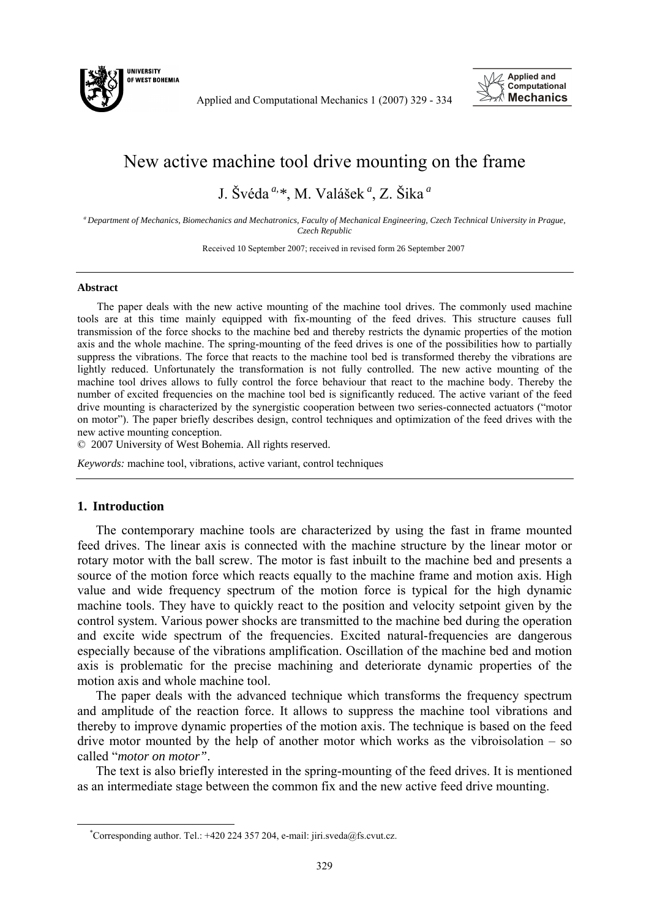

Applied and Computational Mechanics 1 (2007) 329 - 334



## New active machine tool drive mounting on the frame

J. Švéda *a,\**, M. Valášek *<sup>a</sup>* , Z. Šika *<sup>a</sup>*

*a Department of Mechanics, Biomechanics and Mechatronics, Faculty of Mechanical Engineering, Czech Technical University in Prague, Czech Republic* 

Received 10 September 2007; received in revised form 26 September 2007

## **Abstract**

The paper deals with the new active mounting of the machine tool drives. The commonly used machine tools are at this time mainly equipped with fix-mounting of the feed drives. This structure causes full transmission of the force shocks to the machine bed and thereby restricts the dynamic properties of the motion axis and the whole machine. The spring-mounting of the feed drives is one of the possibilities how to partially suppress the vibrations. The force that reacts to the machine tool bed is transformed thereby the vibrations are lightly reduced. Unfortunately the transformation is not fully controlled. The new active mounting of the machine tool drives allows to fully control the force behaviour that react to the machine body. Thereby the number of excited frequencies on the machine tool bed is significantly reduced. The active variant of the feed drive mounting is characterized by the synergistic cooperation between two series-connected actuators ("motor on motor"). The paper briefly describes design, control techniques and optimization of the feed drives with the new active mounting conception.

© 2007 University of West Bohemia. All rights reserved.

*Keywords:* machine tool, vibrations, active variant, control techniques

## **1. Introduction**

The contemporary machine tools are characterized by using the fast in frame mounted feed drives. The linear axis is connected with the machine structure by the linear motor or rotary motor with the ball screw. The motor is fast inbuilt to the machine bed and presents a source of the motion force which reacts equally to the machine frame and motion axis. High value and wide frequency spectrum of the motion force is typical for the high dynamic machine tools. They have to quickly react to the position and velocity setpoint given by the control system. Various power shocks are transmitted to the machine bed during the operation and excite wide spectrum of the frequencies. Excited natural-frequencies are dangerous especially because of the vibrations amplification. Oscillation of the machine bed and motion axis is problematic for the precise machining and deteriorate dynamic properties of the motion axis and whole machine tool.

The paper deals with the advanced technique which transforms the frequency spectrum and amplitude of the reaction force. It allows to suppress the machine tool vibrations and thereby to improve dynamic properties of the motion axis. The technique is based on the feed drive motor mounted by the help of another motor which works as the vibroisolation  $-$  so called "*motor on motor"*.

The text is also briefly interested in the spring-mounting of the feed drives. It is mentioned as an intermediate stage between the common fix and the new active feed drive mounting.

 <sup>\*</sup> <sup>\*</sup>Corresponding author. Tel.: +420 224 357 204, e-mail: jiri.sveda@fs.cvut.cz.